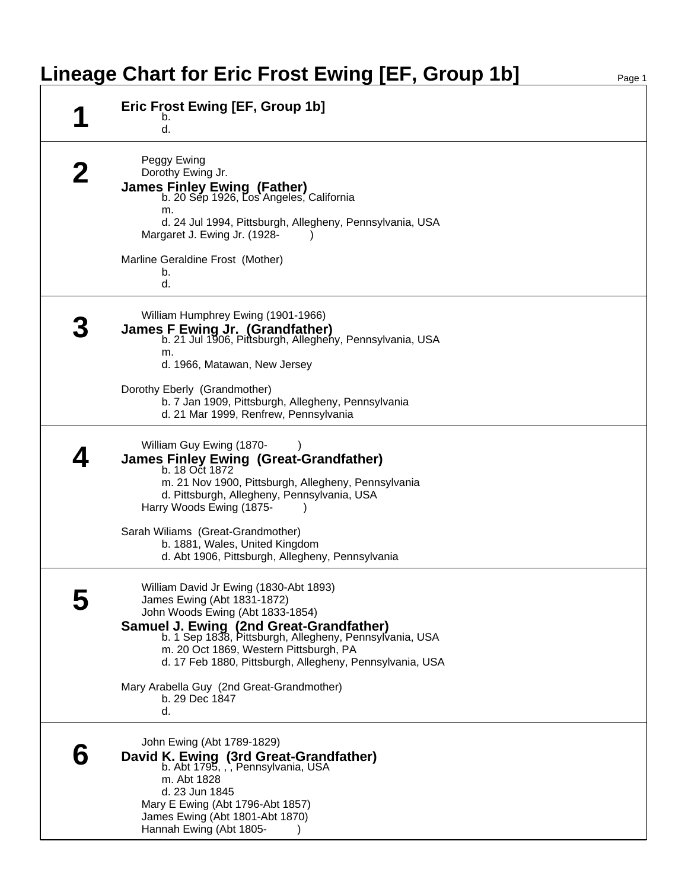## Lineage Chart for Eric Frost Ewing [EF, Group 1b]

| Eric Frost Ewing [EF, Group 1b]<br>b.<br>d.                                                                                                                                                                                                                                                                           |
|-----------------------------------------------------------------------------------------------------------------------------------------------------------------------------------------------------------------------------------------------------------------------------------------------------------------------|
| Peggy Ewing<br>Dorothy Ewing Jr.<br><b>James Finley Ewing (Father)</b><br>b. 20 Sep 1926, Los Angeles, California<br>m.<br>d. 24 Jul 1994, Pittsburgh, Allegheny, Pennsylvania, USA<br>Margaret J. Ewing Jr. (1928-                                                                                                   |
| Marline Geraldine Frost (Mother)<br>b.<br>d.                                                                                                                                                                                                                                                                          |
| William Humphrey Ewing (1901-1966)<br>James F Ewing Jr. (Grandfather)<br>b. 21 Jul 1906, Pittsburgh, Allegheny, Pennsylvania, USA<br>m.<br>d. 1966, Matawan, New Jersey                                                                                                                                               |
| Dorothy Eberly (Grandmother)<br>b. 7 Jan 1909, Pittsburgh, Allegheny, Pennsylvania<br>d. 21 Mar 1999, Renfrew, Pennsylvania                                                                                                                                                                                           |
| William Guy Ewing (1870-<br>James Finley Ewing (Great-Grandfather)<br>b. 18 Oct 1872<br>m. 21 Nov 1900, Pittsburgh, Allegheny, Pennsylvania<br>d. Pittsburgh, Allegheny, Pennsylvania, USA<br>Harry Woods Ewing (1875-                                                                                                |
| Sarah Wiliams (Great-Grandmother)<br>b. 1881, Wales, United Kingdom<br>d. Abt 1906, Pittsburgh, Allegheny, Pennsylvania                                                                                                                                                                                               |
| William David Jr Ewing (1830-Abt 1893)<br>James Ewing (Abt 1831-1872)<br>John Woods Ewing (Abt 1833-1854)<br>Samuel J. Ewing (2nd Great-Grandfather)<br>b. 1 Sep 1838, Pittsburgh, Allegheny, Pennsylvania, USA<br>m. 20 Oct 1869, Western Pittsburgh, PA<br>d. 17 Feb 1880, Pittsburgh, Allegheny, Pennsylvania, USA |
| Mary Arabella Guy (2nd Great-Grandmother)<br>b. 29 Dec 1847<br>d.                                                                                                                                                                                                                                                     |
| John Ewing (Abt 1789-1829)<br>David K. Ewing (3rd Great-Grandfather)<br>b. Abt 1795, , , Pennsylvania, USA<br>m. Abt 1828<br>d. 23 Jun 1845<br>Mary E Ewing (Abt 1796-Abt 1857)<br>James Ewing (Abt 1801-Abt 1870)<br>Hannah Ewing (Abt 1805-                                                                         |